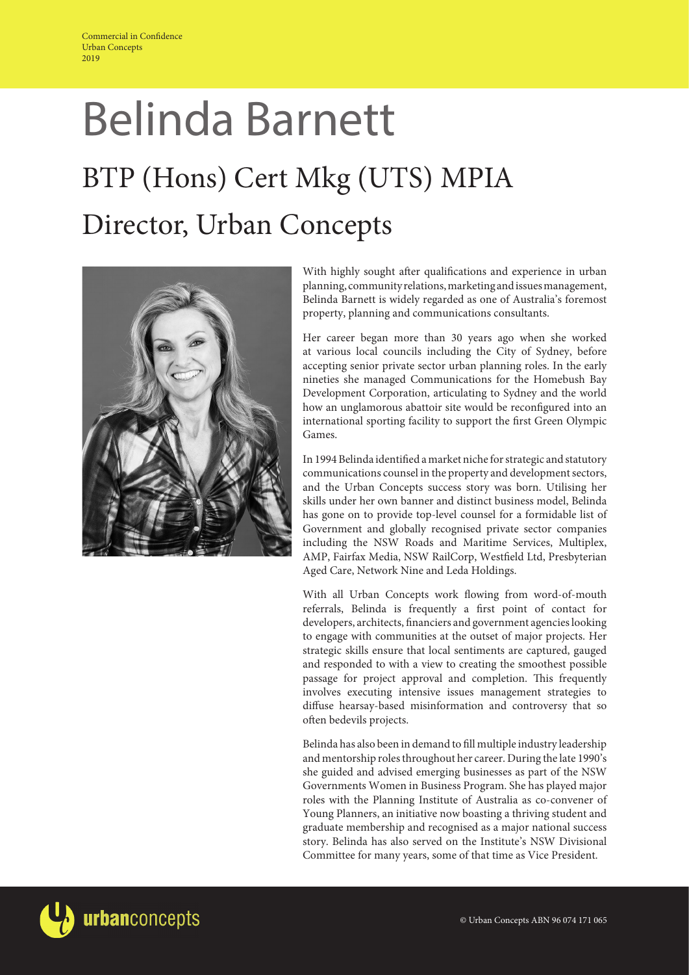# Belinda Barnett BTP (Hons) Cert Mkg (UTS) MPIA Director, Urban Concepts



With highly sought after qualifications and experience in urban planning, community relations, marketing and issues management, Belinda Barnett is widely regarded as one of Australia's foremost property, planning and communications consultants.

Her career began more than 30 years ago when she worked at various local councils including the City of Sydney, before accepting senior private sector urban planning roles. In the early nineties she managed Communications for the Homebush Bay Development Corporation, articulating to Sydney and the world how an unglamorous abattoir site would be reconfigured into an international sporting facility to support the first Green Olympic Games.

In 1994 Belinda identified a market niche for strategic and statutory communications counsel in the property and development sectors, and the Urban Concepts success story was born. Utilising her skills under her own banner and distinct business model, Belinda has gone on to provide top-level counsel for a formidable list of Government and globally recognised private sector companies including the NSW Roads and Maritime Services, Multiplex, AMP, Fairfax Media, NSW RailCorp, Westfield Ltd, Presbyterian Aged Care, Network Nine and Leda Holdings.

With all Urban Concepts work flowing from word-of-mouth referrals, Belinda is frequently a first point of contact for developers, architects, financiers and government agencies looking to engage with communities at the outset of major projects. Her strategic skills ensure that local sentiments are captured, gauged and responded to with a view to creating the smoothest possible passage for project approval and completion. This frequently involves executing intensive issues management strategies to diffuse hearsay-based misinformation and controversy that so often bedevils projects.

Belinda has also been in demand to fill multiple industry leadership and mentorship roles throughout her career. During the late 1990's she guided and advised emerging businesses as part of the NSW Governments Women in Business Program. She has played major roles with the Planning Institute of Australia as co-convener of Young Planners, an initiative now boasting a thriving student and graduate membership and recognised as a major national success story. Belinda has also served on the Institute's NSW Divisional Committee for many years, some of that time as Vice President.